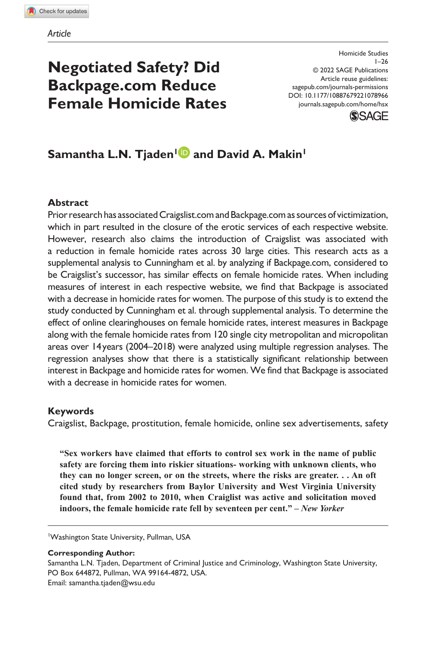# **Negotiated Safety? Did Backpage.com Reduce Female Homicide Rates**

DOI: 10.1177/10887679221078966 Homicide Studies  $1 - 26$ © 2022 SAGE Publications Article reuse guidelines: sagepub.com/journals-permissions journals.sagepub.com/home/hsx



# **Samantha L.N. Tjaden<sup>1</sup> and David A. Makin<sup>1</sup>**

#### **Abstract**

Prior research has associated Craigslist.com and Backpage.com as sources of victimization, which in part resulted in the closure of the erotic services of each respective website. However, research also claims the introduction of Craigslist was associated with a reduction in female homicide rates across 30 large cities. This research acts as a supplemental analysis to Cunningham et al. by analyzing if Backpage.com, considered to be Craigslist's successor, has similar effects on female homicide rates. When including measures of interest in each respective website, we find that Backpage is associated with a decrease in homicide rates for women. The purpose of this study is to extend the study conducted by Cunningham et al. through supplemental analysis. To determine the effect of online clearinghouses on female homicide rates, interest measures in Backpage along with the female homicide rates from 120 single city metropolitan and micropolitan areas over 14 years (2004–2018) were analyzed using multiple regression analyses. The regression analyses show that there is a statistically significant relationship between interest in Backpage and homicide rates for women. We find that Backpage is associated with a decrease in homicide rates for women.

#### **Keywords**

Craigslist, Backpage, prostitution, female homicide, online sex advertisements, safety

**"Sex workers have claimed that efforts to control sex work in the name of public safety are forcing them into riskier situations- working with unknown clients, who they can no longer screen, or on the streets, where the risks are greater. . . An oft cited study by researchers from Baylor University and West Virginia University found that, from 2002 to 2010, when Craiglist was active and solicitation moved indoors, the female homicide rate fell by seventeen per cent." –** *New Yorker*

<sup>1</sup>Washington State University, Pullman, USA

**Corresponding Author:**

Samantha L.N. Tjaden, Department of Criminal Justice and Criminology, Washington State University, PO Box 644872, Pullman, WA 99164-4872, USA. Email: samantha.tjaden@wsu.edu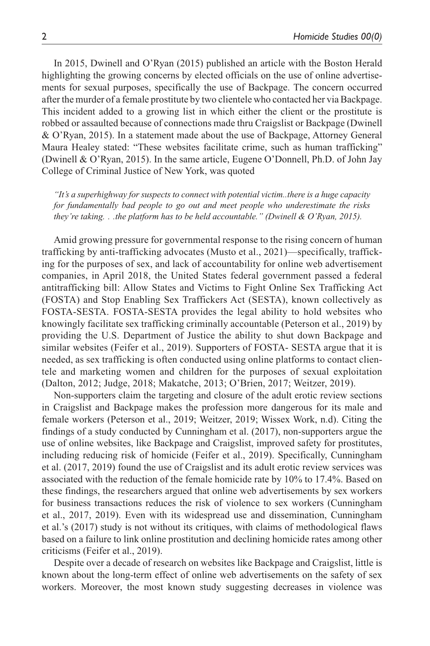In 2015, Dwinell and O'Ryan (2015) published an article with the Boston Herald highlighting the growing concerns by elected officials on the use of online advertisements for sexual purposes, specifically the use of Backpage. The concern occurred after the murder of a female prostitute by two clientele who contacted her via Backpage. This incident added to a growing list in which either the client or the prostitute is robbed or assaulted because of connections made thru Craigslist or Backpage (Dwinell & O'Ryan, 2015). In a statement made about the use of Backpage, Attorney General Maura Healey stated: "These websites facilitate crime, such as human trafficking" (Dwinell & O'Ryan, 2015). In the same article, Eugene O'Donnell, Ph.D. of John Jay College of Criminal Justice of New York, was quoted

*"It's a superhighway for suspects to connect with potential victim..there is a huge capacity for fundamentally bad people to go out and meet people who underestimate the risks they're taking. . .the platform has to be held accountable." (Dwinell & O'Ryan, 2015).*

Amid growing pressure for governmental response to the rising concern of human trafficking by anti-trafficking advocates (Musto et al., 2021)—specifically, trafficking for the purposes of sex, and lack of accountability for online web advertisement companies, in April 2018, the United States federal government passed a federal antitrafficking bill: Allow States and Victims to Fight Online Sex Trafficking Act (FOSTA) and Stop Enabling Sex Traffickers Act (SESTA), known collectively as FOSTA-SESTA. FOSTA-SESTA provides the legal ability to hold websites who knowingly facilitate sex trafficking criminally accountable (Peterson et al., 2019) by providing the U.S. Department of Justice the ability to shut down Backpage and similar websites (Feifer et al., 2019). Supporters of FOSTA- SESTA argue that it is needed, as sex trafficking is often conducted using online platforms to contact clientele and marketing women and children for the purposes of sexual exploitation (Dalton, 2012; Judge, 2018; Makatche, 2013; O'Brien, 2017; Weitzer, 2019).

Non-supporters claim the targeting and closure of the adult erotic review sections in Craigslist and Backpage makes the profession more dangerous for its male and female workers (Peterson et al., 2019; Weitzer, 2019; Wissex Work, n.d). Citing the findings of a study conducted by Cunningham et al. (2017), non-supporters argue the use of online websites, like Backpage and Craigslist, improved safety for prostitutes, including reducing risk of homicide (Feifer et al., 2019). Specifically, Cunningham et al. (2017, 2019) found the use of Craigslist and its adult erotic review services was associated with the reduction of the female homicide rate by 10% to 17.4%. Based on these findings, the researchers argued that online web advertisements by sex workers for business transactions reduces the risk of violence to sex workers (Cunningham et al., 2017, 2019). Even with its widespread use and dissemination, Cunningham et al.'s (2017) study is not without its critiques, with claims of methodological flaws based on a failure to link online prostitution and declining homicide rates among other criticisms (Feifer et al., 2019).

Despite over a decade of research on websites like Backpage and Craigslist, little is known about the long-term effect of online web advertisements on the safety of sex workers. Moreover, the most known study suggesting decreases in violence was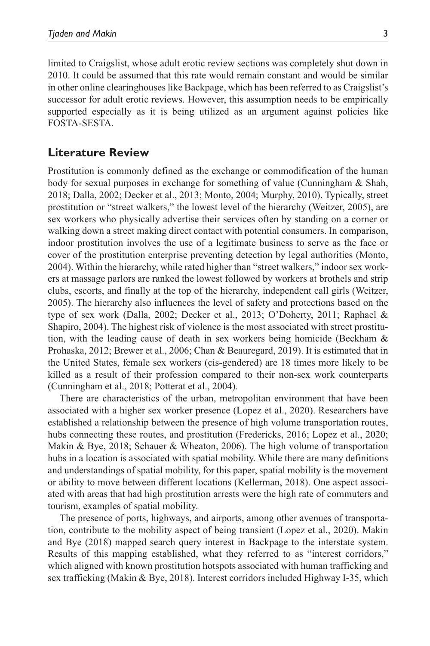limited to Craigslist, whose adult erotic review sections was completely shut down in 2010. It could be assumed that this rate would remain constant and would be similar in other online clearinghouses like Backpage, which has been referred to as Craigslist's successor for adult erotic reviews. However, this assumption needs to be empirically supported especially as it is being utilized as an argument against policies like FOSTA-SESTA.

### **Literature Review**

Prostitution is commonly defined as the exchange or commodification of the human body for sexual purposes in exchange for something of value (Cunningham & Shah, 2018; Dalla, 2002; Decker et al., 2013; Monto, 2004; Murphy, 2010). Typically, street prostitution or "street walkers," the lowest level of the hierarchy (Weitzer, 2005), are sex workers who physically advertise their services often by standing on a corner or walking down a street making direct contact with potential consumers. In comparison, indoor prostitution involves the use of a legitimate business to serve as the face or cover of the prostitution enterprise preventing detection by legal authorities (Monto, 2004). Within the hierarchy, while rated higher than "street walkers," indoor sex workers at massage parlors are ranked the lowest followed by workers at brothels and strip clubs, escorts, and finally at the top of the hierarchy, independent call girls (Weitzer, 2005). The hierarchy also influences the level of safety and protections based on the type of sex work (Dalla, 2002; Decker et al., 2013; O'Doherty, 2011; Raphael & Shapiro, 2004). The highest risk of violence is the most associated with street prostitution, with the leading cause of death in sex workers being homicide (Beckham & Prohaska, 2012; Brewer et al., 2006; Chan & Beauregard, 2019). It is estimated that in the United States, female sex workers (cis-gendered) are 18 times more likely to be killed as a result of their profession compared to their non-sex work counterparts (Cunningham et al., 2018; Potterat et al., 2004).

There are characteristics of the urban, metropolitan environment that have been associated with a higher sex worker presence (Lopez et al., 2020). Researchers have established a relationship between the presence of high volume transportation routes, hubs connecting these routes, and prostitution (Fredericks, 2016; Lopez et al., 2020; Makin & Bye, 2018; Schauer & Wheaton, 2006). The high volume of transportation hubs in a location is associated with spatial mobility. While there are many definitions and understandings of spatial mobility, for this paper, spatial mobility is the movement or ability to move between different locations (Kellerman, 2018). One aspect associated with areas that had high prostitution arrests were the high rate of commuters and tourism, examples of spatial mobility.

The presence of ports, highways, and airports, among other avenues of transportation, contribute to the mobility aspect of being transient (Lopez et al., 2020). Makin and Bye (2018) mapped search query interest in Backpage to the interstate system. Results of this mapping established, what they referred to as "interest corridors," which aligned with known prostitution hotspots associated with human trafficking and sex trafficking (Makin & Bye, 2018). Interest corridors included Highway I-35, which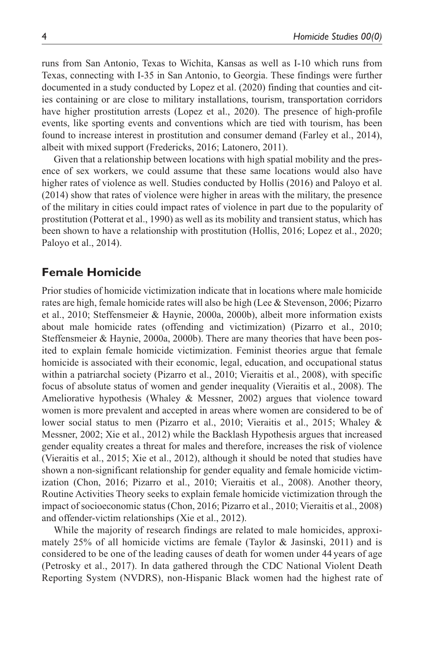runs from San Antonio, Texas to Wichita, Kansas as well as I-10 which runs from Texas, connecting with I-35 in San Antonio, to Georgia. These findings were further documented in a study conducted by Lopez et al. (2020) finding that counties and cities containing or are close to military installations, tourism, transportation corridors have higher prostitution arrests (Lopez et al., 2020). The presence of high-profile events, like sporting events and conventions which are tied with tourism, has been found to increase interest in prostitution and consumer demand (Farley et al., 2014), albeit with mixed support (Fredericks, 2016; Latonero, 2011).

Given that a relationship between locations with high spatial mobility and the presence of sex workers, we could assume that these same locations would also have higher rates of violence as well. Studies conducted by Hollis (2016) and Paloyo et al. (2014) show that rates of violence were higher in areas with the military, the presence of the military in cities could impact rates of violence in part due to the popularity of prostitution (Potterat et al., 1990) as well as its mobility and transient status, which has been shown to have a relationship with prostitution (Hollis, 2016; Lopez et al., 2020; Paloyo et al., 2014).

### **Female Homicide**

Prior studies of homicide victimization indicate that in locations where male homicide rates are high, female homicide rates will also be high (Lee & Stevenson, 2006; Pizarro et al., 2010; Steffensmeier & Haynie, 2000a, 2000b), albeit more information exists about male homicide rates (offending and victimization) (Pizarro et al., 2010; Steffensmeier & Haynie, 2000a, 2000b). There are many theories that have been posited to explain female homicide victimization. Feminist theories argue that female homicide is associated with their economic, legal, education, and occupational status within a patriarchal society (Pizarro et al., 2010; Vieraitis et al., 2008), with specific focus of absolute status of women and gender inequality (Vieraitis et al., 2008). The Ameliorative hypothesis (Whaley & Messner, 2002) argues that violence toward women is more prevalent and accepted in areas where women are considered to be of lower social status to men (Pizarro et al., 2010; Vieraitis et al., 2015; Whaley & Messner, 2002; Xie et al., 2012) while the Backlash Hypothesis argues that increased gender equality creates a threat for males and therefore, increases the risk of violence (Vieraitis et al., 2015; Xie et al., 2012), although it should be noted that studies have shown a non-significant relationship for gender equality and female homicide victimization (Chon, 2016; Pizarro et al., 2010; Vieraitis et al., 2008). Another theory, Routine Activities Theory seeks to explain female homicide victimization through the impact of socioeconomic status (Chon, 2016; Pizarro et al., 2010; Vieraitis et al., 2008) and offender-victim relationships (Xie et al., 2012).

While the majority of research findings are related to male homicides, approximately 25% of all homicide victims are female (Taylor & Jasinski, 2011) and is considered to be one of the leading causes of death for women under 44 years of age (Petrosky et al., 2017). In data gathered through the CDC National Violent Death Reporting System (NVDRS), non-Hispanic Black women had the highest rate of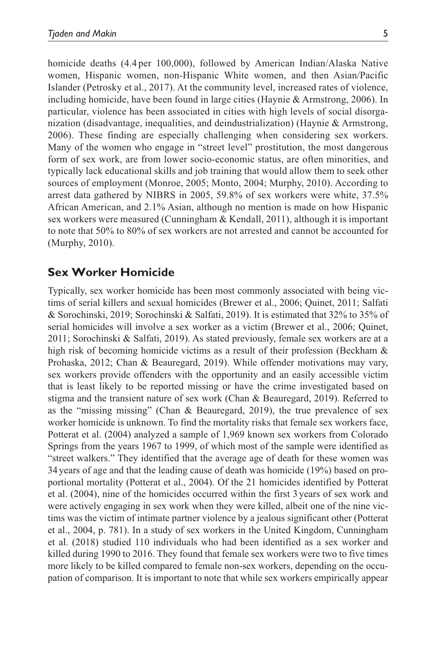homicide deaths (4.4 per 100,000), followed by American Indian/Alaska Native women, Hispanic women, non-Hispanic White women, and then Asian/Pacific Islander (Petrosky et al., 2017). At the community level, increased rates of violence, including homicide, have been found in large cities (Haynie & Armstrong, 2006). In particular, violence has been associated in cities with high levels of social disorganization (disadvantage, inequalities, and deindustrialization) (Haynie & Armstrong, 2006). These finding are especially challenging when considering sex workers. Many of the women who engage in "street level" prostitution, the most dangerous form of sex work, are from lower socio-economic status, are often minorities, and typically lack educational skills and job training that would allow them to seek other sources of employment (Monroe, 2005; Monto, 2004; Murphy, 2010). According to arrest data gathered by NIBRS in 2005, 59.8% of sex workers were white, 37.5% African American, and 2.1% Asian, although no mention is made on how Hispanic sex workers were measured (Cunningham & Kendall, 2011), although it is important to note that 50% to 80% of sex workers are not arrested and cannot be accounted for (Murphy, 2010).

# **Sex Worker Homicide**

Typically, sex worker homicide has been most commonly associated with being victims of serial killers and sexual homicides (Brewer et al., 2006; Quinet, 2011; Salfati & Sorochinski, 2019; Sorochinski & Salfati, 2019). It is estimated that 32% to 35% of serial homicides will involve a sex worker as a victim (Brewer et al., 2006; Quinet, 2011; Sorochinski & Salfati, 2019). As stated previously, female sex workers are at a high risk of becoming homicide victims as a result of their profession (Beckham & Prohaska, 2012; Chan & Beauregard, 2019). While offender motivations may vary, sex workers provide offenders with the opportunity and an easily accessible victim that is least likely to be reported missing or have the crime investigated based on stigma and the transient nature of sex work (Chan & Beauregard, 2019). Referred to as the "missing missing" (Chan & Beauregard, 2019), the true prevalence of sex worker homicide is unknown. To find the mortality risks that female sex workers face, Potterat et al. (2004) analyzed a sample of 1,969 known sex workers from Colorado Springs from the years 1967 to 1999, of which most of the sample were identified as "street walkers." They identified that the average age of death for these women was 34 years of age and that the leading cause of death was homicide (19%) based on proportional mortality (Potterat et al., 2004). Of the 21 homicides identified by Potterat et al. (2004), nine of the homicides occurred within the first 3 years of sex work and were actively engaging in sex work when they were killed, albeit one of the nine victims was the victim of intimate partner violence by a jealous significant other (Potterat et al., 2004, p. 781). In a study of sex workers in the United Kingdom, Cunningham et al. (2018) studied 110 individuals who had been identified as a sex worker and killed during 1990 to 2016. They found that female sex workers were two to five times more likely to be killed compared to female non-sex workers, depending on the occupation of comparison. It is important to note that while sex workers empirically appear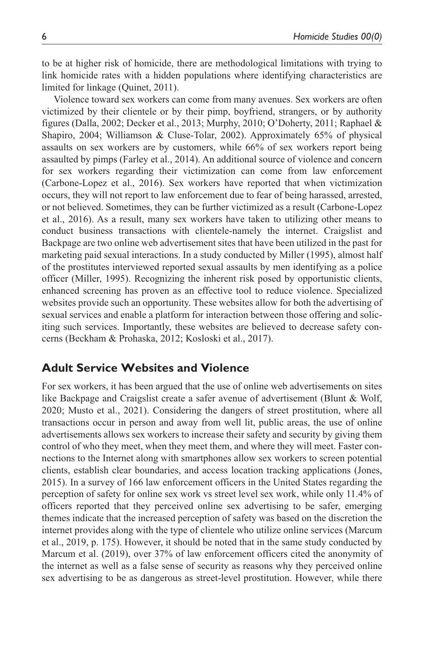to be at higher risk of homicide, there are methodological limitations with trying to link homicide rates with a hidden populations where identifying characteristics are limited for linkage (Quinet, 2011).

Violence toward sex workers can come from many avenues. Sex workers are often victimized by their clientele or by their pimp, boyfriend, strangers, or by authority figures (Dalla, 2002; Decker et al., 2013; Murphy, 2010; O'Doherty, 2011; Raphael & Shapiro, 2004; Williamson & Cluse-Tolar, 2002). Approximately 65% of physical assaults on sex workers are by customers, while 66% of sex workers report being assaulted by pimps (Farley et al., 2014). An additional source of violence and concern for sex workers regarding their victimization can come from law enforcement (Carbone-Lopez et al., 2016). Sex workers have reported that when victimization occurs, they will not report to law enforcement due to fear of being harassed, arrested, or not believed. Sometimes, they can be further victimized as a result (Carbone-Lopez et al., 2016). As a result, many sex workers have taken to utilizing other means to conduct business transactions with clientele-namely the internet. Craigslist and Backpage are two online web advertisement sites that have been utilized in the past for marketing paid sexual interactions. In a study conducted by Miller (1995), almost half of the prostitutes interviewed reported sexual assaults by men identifying as a police officer (Miller, 1995). Recognizing the inherent risk posed by opportunistic clients, enhanced screening has proven as an effective tool to reduce violence. Specialized websites provide such an opportunity. These websites allow for both the advertising of sexual services and enable a platform for interaction between those offering and soliciting such services. Importantly, these websites are believed to decrease safety concerns (Beckham & Prohaska, 2012; Kosloski et al., 2017).

### **Adult Service Websites and Violence**

For sex workers, it has been argued that the use of online web advertisements on sites like Backpage and Craigslist create a safer avenue of advertisement (Blunt & Wolf, 2020; Musto et al., 2021). Considering the dangers of street prostitution, where all transactions occur in person and away from well lit, public areas, the use of online advertisements allows sex workers to increase their safety and security by giving them control of who they meet, when they meet them, and where they will meet. Faster connections to the Internet along with smartphones allow sex workers to screen potential clients, establish clear boundaries, and access location tracking applications (Jones, 2015). In a survey of 166 law enforcement officers in the United States regarding the perception of safety for online sex work vs street level sex work, while only 11.4% of officers reported that they perceived online sex advertising to be safer, emerging themes indicate that the increased perception of safety was based on the discretion the internet provides along with the type of clientele who utilize online services (Marcum et al., 2019, p. 175). However, it should be noted that in the same study conducted by Marcum et al. (2019), over 37% of law enforcement officers cited the anonymity of the internet as well as a false sense of security as reasons why they perceived online sex advertising to be as dangerous as street-level prostitution. However, while there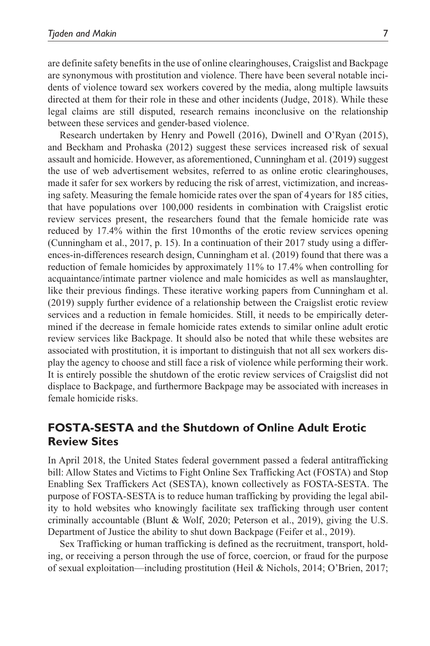are definite safety benefits in the use of online clearinghouses, Craigslist and Backpage are synonymous with prostitution and violence. There have been several notable incidents of violence toward sex workers covered by the media, along multiple lawsuits directed at them for their role in these and other incidents (Judge, 2018). While these legal claims are still disputed, research remains inconclusive on the relationship between these services and gender-based violence.

Research undertaken by Henry and Powell (2016), Dwinell and O'Ryan (2015), and Beckham and Prohaska (2012) suggest these services increased risk of sexual assault and homicide. However, as aforementioned, Cunningham et al. (2019) suggest the use of web advertisement websites, referred to as online erotic clearinghouses, made it safer for sex workers by reducing the risk of arrest, victimization, and increasing safety. Measuring the female homicide rates over the span of 4 years for 185 cities, that have populations over 100,000 residents in combination with Craigslist erotic review services present, the researchers found that the female homicide rate was reduced by 17.4% within the first 10 months of the erotic review services opening (Cunningham et al., 2017, p. 15). In a continuation of their 2017 study using a differences-in-differences research design, Cunningham et al. (2019) found that there was a reduction of female homicides by approximately 11% to 17.4% when controlling for acquaintance/intimate partner violence and male homicides as well as manslaughter, like their previous findings. These iterative working papers from Cunningham et al. (2019) supply further evidence of a relationship between the Craigslist erotic review services and a reduction in female homicides. Still, it needs to be empirically determined if the decrease in female homicide rates extends to similar online adult erotic review services like Backpage. It should also be noted that while these websites are associated with prostitution, it is important to distinguish that not all sex workers display the agency to choose and still face a risk of violence while performing their work. It is entirely possible the shutdown of the erotic review services of Craigslist did not displace to Backpage, and furthermore Backpage may be associated with increases in female homicide risks.

# **FOSTA-SESTA and the Shutdown of Online Adult Erotic Review Sites**

In April 2018, the United States federal government passed a federal antitrafficking bill: Allow States and Victims to Fight Online Sex Trafficking Act (FOSTA) and Stop Enabling Sex Traffickers Act (SESTA), known collectively as FOSTA-SESTA. The purpose of FOSTA-SESTA is to reduce human trafficking by providing the legal ability to hold websites who knowingly facilitate sex trafficking through user content criminally accountable (Blunt & Wolf, 2020; Peterson et al., 2019), giving the U.S. Department of Justice the ability to shut down Backpage (Feifer et al., 2019).

Sex Trafficking or human trafficking is defined as the recruitment, transport, holding, or receiving a person through the use of force, coercion, or fraud for the purpose of sexual exploitation—including prostitution (Heil & Nichols, 2014; O'Brien, 2017;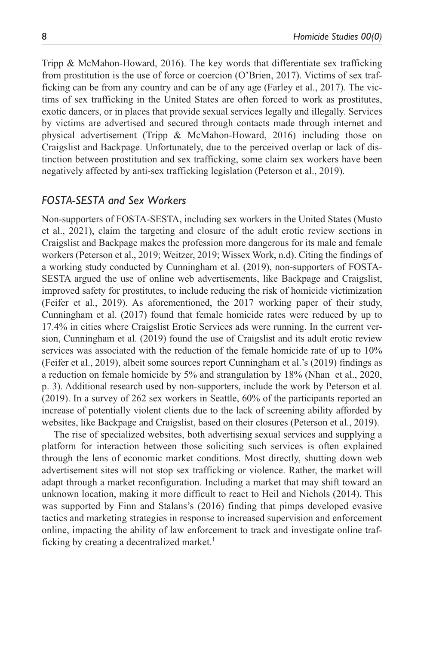Tripp & McMahon-Howard, 2016). The key words that differentiate sex trafficking from prostitution is the use of force or coercion (O'Brien, 2017). Victims of sex trafficking can be from any country and can be of any age (Farley et al., 2017). The victims of sex trafficking in the United States are often forced to work as prostitutes, exotic dancers, or in places that provide sexual services legally and illegally. Services by victims are advertised and secured through contacts made through internet and physical advertisement (Tripp & McMahon-Howard, 2016) including those on Craigslist and Backpage. Unfortunately, due to the perceived overlap or lack of distinction between prostitution and sex trafficking, some claim sex workers have been negatively affected by anti-sex trafficking legislation (Peterson et al., 2019).

#### *FOSTA-SESTA and Sex Workers*

Non-supporters of FOSTA-SESTA, including sex workers in the United States (Musto et al., 2021), claim the targeting and closure of the adult erotic review sections in Craigslist and Backpage makes the profession more dangerous for its male and female workers (Peterson et al., 2019; Weitzer, 2019; Wissex Work, n.d). Citing the findings of a working study conducted by Cunningham et al. (2019), non-supporters of FOSTA-SESTA argued the use of online web advertisements, like Backpage and Craigslist, improved safety for prostitutes, to include reducing the risk of homicide victimization (Feifer et al., 2019). As aforementioned, the 2017 working paper of their study, Cunningham et al. (2017) found that female homicide rates were reduced by up to 17.4% in cities where Craigslist Erotic Services ads were running. In the current version, Cunningham et al. (2019) found the use of Craigslist and its adult erotic review services was associated with the reduction of the female homicide rate of up to 10% (Feifer et al., 2019), albeit some sources report Cunningham et al.'s (2019) findings as a reduction on female homicide by 5% and strangulation by 18% (Nhan et al., 2020, p. 3). Additional research used by non-supporters, include the work by Peterson et al. (2019). In a survey of 262 sex workers in Seattle, 60% of the participants reported an increase of potentially violent clients due to the lack of screening ability afforded by websites, like Backpage and Craigslist, based on their closures (Peterson et al., 2019).

The rise of specialized websites, both advertising sexual services and supplying a platform for interaction between those soliciting such services is often explained through the lens of economic market conditions. Most directly, shutting down web advertisement sites will not stop sex trafficking or violence. Rather, the market will adapt through a market reconfiguration. Including a market that may shift toward an unknown location, making it more difficult to react to Heil and Nichols (2014). This was supported by Finn and Stalans's (2016) finding that pimps developed evasive tactics and marketing strategies in response to increased supervision and enforcement online, impacting the ability of law enforcement to track and investigate online trafficking by creating a decentralized market.<sup>1</sup>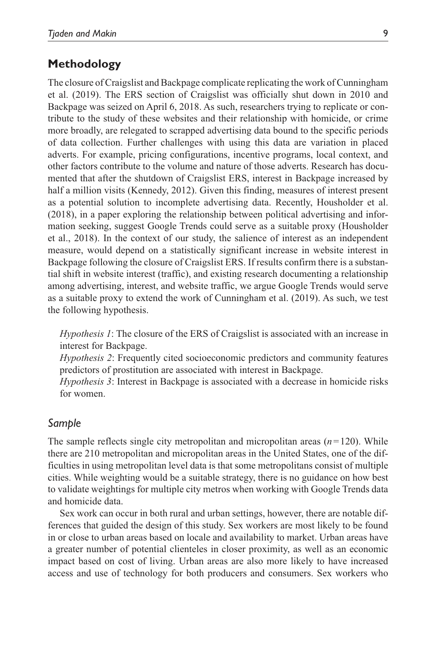### **Methodology**

The closure of Craigslist and Backpage complicate replicating the work of Cunningham et al. (2019). The ERS section of Craigslist was officially shut down in 2010 and Backpage was seized on April 6, 2018. As such, researchers trying to replicate or contribute to the study of these websites and their relationship with homicide, or crime more broadly, are relegated to scrapped advertising data bound to the specific periods of data collection. Further challenges with using this data are variation in placed adverts. For example, pricing configurations, incentive programs, local context, and other factors contribute to the volume and nature of those adverts. Research has documented that after the shutdown of Craigslist ERS, interest in Backpage increased by half a million visits (Kennedy, 2012). Given this finding, measures of interest present as a potential solution to incomplete advertising data. Recently, Housholder et al. (2018), in a paper exploring the relationship between political advertising and information seeking, suggest Google Trends could serve as a suitable proxy (Housholder et al., 2018). In the context of our study, the salience of interest as an independent measure, would depend on a statistically significant increase in website interest in Backpage following the closure of Craigslist ERS. If results confirm there is a substantial shift in website interest (traffic), and existing research documenting a relationship among advertising, interest, and website traffic, we argue Google Trends would serve as a suitable proxy to extend the work of Cunningham et al. (2019). As such, we test the following hypothesis.

*Hypothesis 1*: The closure of the ERS of Craigslist is associated with an increase in interest for Backpage.

*Hypothesis 2*: Frequently cited socioeconomic predictors and community features predictors of prostitution are associated with interest in Backpage.

*Hypothesis 3*: Interest in Backpage is associated with a decrease in homicide risks for women.

#### *Sample*

The sample reflects single city metropolitan and micropolitan areas  $(n=120)$ . While there are 210 metropolitan and micropolitan areas in the United States, one of the difficulties in using metropolitan level data is that some metropolitans consist of multiple cities. While weighting would be a suitable strategy, there is no guidance on how best to validate weightings for multiple city metros when working with Google Trends data and homicide data.

Sex work can occur in both rural and urban settings, however, there are notable differences that guided the design of this study. Sex workers are most likely to be found in or close to urban areas based on locale and availability to market. Urban areas have a greater number of potential clienteles in closer proximity, as well as an economic impact based on cost of living. Urban areas are also more likely to have increased access and use of technology for both producers and consumers. Sex workers who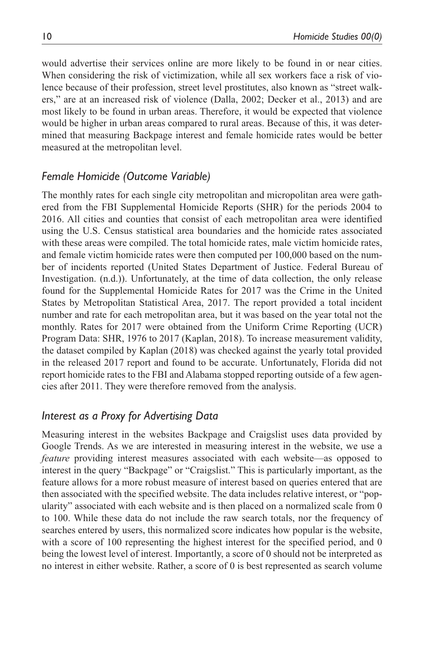would advertise their services online are more likely to be found in or near cities. When considering the risk of victimization, while all sex workers face a risk of violence because of their profession, street level prostitutes, also known as "street walkers," are at an increased risk of violence (Dalla, 2002; Decker et al., 2013) and are most likely to be found in urban areas. Therefore, it would be expected that violence would be higher in urban areas compared to rural areas. Because of this, it was determined that measuring Backpage interest and female homicide rates would be better measured at the metropolitan level.

### *Female Homicide (Outcome Variable)*

The monthly rates for each single city metropolitan and micropolitan area were gathered from the FBI Supplemental Homicide Reports (SHR) for the periods 2004 to 2016. All cities and counties that consist of each metropolitan area were identified using the U.S. Census statistical area boundaries and the homicide rates associated with these areas were compiled. The total homicide rates, male victim homicide rates, and female victim homicide rates were then computed per 100,000 based on the number of incidents reported (United States Department of Justice. Federal Bureau of Investigation. (n.d.)). Unfortunately, at the time of data collection, the only release found for the Supplemental Homicide Rates for 2017 was the Crime in the United States by Metropolitan Statistical Area, 2017. The report provided a total incident number and rate for each metropolitan area, but it was based on the year total not the monthly. Rates for 2017 were obtained from the Uniform Crime Reporting (UCR) Program Data: SHR, 1976 to 2017 (Kaplan, 2018). To increase measurement validity, the dataset compiled by Kaplan (2018) was checked against the yearly total provided in the released 2017 report and found to be accurate. Unfortunately, Florida did not report homicide rates to the FBI and Alabama stopped reporting outside of a few agencies after 2011. They were therefore removed from the analysis.

### *Interest as a Proxy for Advertising Data*

Measuring interest in the websites Backpage and Craigslist uses data provided by Google Trends. As we are interested in measuring interest in the website, we use a *feature* providing interest measures associated with each website—as opposed to interest in the query "Backpage" or "Craigslist." This is particularly important, as the feature allows for a more robust measure of interest based on queries entered that are then associated with the specified website. The data includes relative interest, or "popularity" associated with each website and is then placed on a normalized scale from 0 to 100. While these data do not include the raw search totals, nor the frequency of searches entered by users, this normalized score indicates how popular is the website, with a score of 100 representing the highest interest for the specified period, and 0 being the lowest level of interest. Importantly, a score of 0 should not be interpreted as no interest in either website. Rather, a score of 0 is best represented as search volume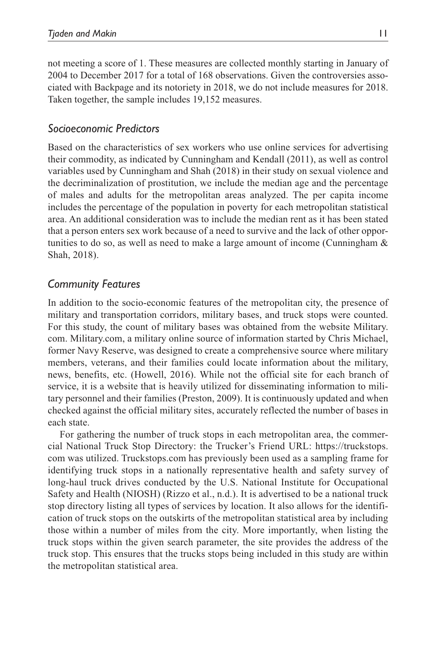not meeting a score of 1. These measures are collected monthly starting in January of 2004 to December 2017 for a total of 168 observations. Given the controversies associated with Backpage and its notoriety in 2018, we do not include measures for 2018. Taken together, the sample includes 19,152 measures.

## *Socioeconomic Predictors*

Based on the characteristics of sex workers who use online services for advertising their commodity, as indicated by Cunningham and Kendall (2011), as well as control variables used by Cunningham and Shah (2018) in their study on sexual violence and the decriminalization of prostitution, we include the median age and the percentage of males and adults for the metropolitan areas analyzed. The per capita income includes the percentage of the population in poverty for each metropolitan statistical area. An additional consideration was to include the median rent as it has been stated that a person enters sex work because of a need to survive and the lack of other opportunities to do so, as well as need to make a large amount of income (Cunningham  $\&$ Shah, 2018).

# *Community Features*

In addition to the socio-economic features of the metropolitan city, the presence of military and transportation corridors, military bases, and truck stops were counted. For this study, the count of military bases was obtained from the website Military. com. Military.com, a military online source of information started by Chris Michael, former Navy Reserve, was designed to create a comprehensive source where military members, veterans, and their families could locate information about the military, news, benefits, etc. (Howell, 2016). While not the official site for each branch of service, it is a website that is heavily utilized for disseminating information to military personnel and their families (Preston, 2009). It is continuously updated and when checked against the official military sites, accurately reflected the number of bases in each state.

For gathering the number of truck stops in each metropolitan area, the commercial National Truck Stop Directory: the Trucker's Friend URL: https://truckstops. com was utilized. Truckstops.com has previously been used as a sampling frame for identifying truck stops in a nationally representative health and safety survey of long-haul truck drives conducted by the U.S. National Institute for Occupational Safety and Health (NIOSH) (Rizzo et al., n.d.). It is advertised to be a national truck stop directory listing all types of services by location. It also allows for the identification of truck stops on the outskirts of the metropolitan statistical area by including those within a number of miles from the city. More importantly, when listing the truck stops within the given search parameter, the site provides the address of the truck stop. This ensures that the trucks stops being included in this study are within the metropolitan statistical area.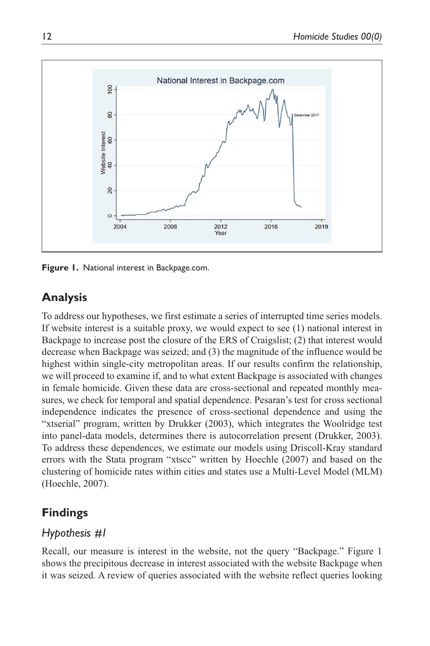

**Figure 1.** National interest in Backpage.com.

# **Analysis**

To address our hypotheses, we first estimate a series of interrupted time series models. If website interest is a suitable proxy, we would expect to see (1) national interest in Backpage to increase post the closure of the ERS of Craigslist; (2) that interest would decrease when Backpage was seized; and (3) the magnitude of the influence would be highest within single-city metropolitan areas. If our results confirm the relationship, we will proceed to examine if, and to what extent Backpage is associated with changes in female homicide. Given these data are cross-sectional and repeated monthly measures, we check for temporal and spatial dependence. Pesaran's test for cross sectional independence indicates the presence of cross-sectional dependence and using the "xtserial" program, written by Drukker (2003), which integrates the Woolridge test into panel-data models, determines there is autocorrelation present (Drukker, 2003). To address these dependences, we estimate our models using Driscoll-Kray standard errors with the Stata program "xtscc" written by Hoechle (2007) and based on the clustering of homicide rates within cities and states use a Multi-Level Model (MLM) (Hoechle, 2007).

# **Findings**

# *Hypothesis #1*

Recall, our measure is interest in the website, not the query "Backpage." Figure 1 shows the precipitous decrease in interest associated with the website Backpage when it was seized. A review of queries associated with the website reflect queries looking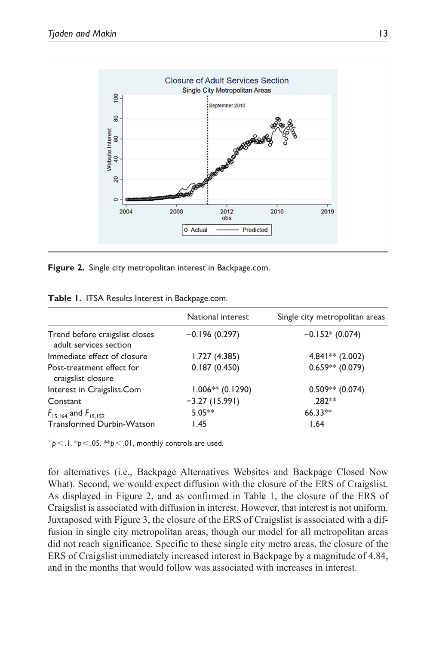

**Figure 2.** Single city metropolitan interest in Backpage.com.

|                                                          | National interest  | Single city metropolitan areas |  |
|----------------------------------------------------------|--------------------|--------------------------------|--|
| Trend before craigslist closes<br>adult services section | $-0.196(0.297)$    | $-0.152*(0.074)$               |  |
| Immediate effect of closure                              | 1.727 (4.385)      | $4.841**$ (2.002)              |  |
| Post-treatment effect for<br>craigslist closure          | 0.187(0.450)       | $0.659**$ (0.079)              |  |
| Interest in Craigslist.Com                               | $1.006**$ (0.1290) | $0.509**$ (0.074)              |  |
| Constant                                                 | $-3.27(15.991)$    | .282**                         |  |
| $F_{15,164}$ and $F_{15,152}$                            | $5.05***$          | $66.33**$                      |  |
| Transformed Durbin-Watson                                | 1.45               | 1.64                           |  |

**Table 1.** ITSA Results Interest in Backpage.com.

 $p^+p$  <  $1.$   $p^+p$  <  $.05.$   $p^+p$  <  $.01$ , monthly controls are used.

for alternatives (i.e., Backpage Alternatives Websites and Backpage Closed Now What). Second, we would expect diffusion with the closure of the ERS of Craigslist. As displayed in Figure 2, and as confirmed in Table 1, the closure of the ERS of Craigslist is associated with diffusion in interest. However, that interest is not uniform. Juxtaposed with Figure 3, the closure of the ERS of Craigslist is associated with a diffusion in single city metropolitan areas, though our model for all metropolitan areas did not reach significance. Specific to these single city metro areas, the closure of the ERS of Craigslist immediately increased interest in Backpage by a magnitude of 4.84, and in the months that would follow was associated with increases in interest.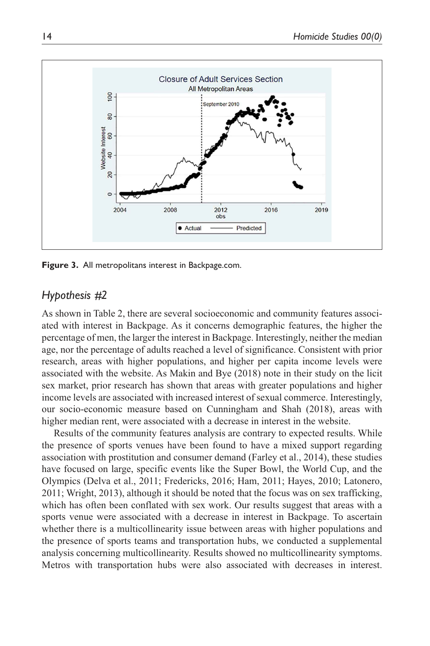

**Figure 3.** All metropolitans interest in Backpage.com.

# *Hypothesis #2*

As shown in Table 2, there are several socioeconomic and community features associated with interest in Backpage. As it concerns demographic features, the higher the percentage of men, the larger the interest in Backpage. Interestingly, neither the median age, nor the percentage of adults reached a level of significance. Consistent with prior research, areas with higher populations, and higher per capita income levels were associated with the website. As Makin and Bye (2018) note in their study on the licit sex market, prior research has shown that areas with greater populations and higher income levels are associated with increased interest of sexual commerce. Interestingly, our socio-economic measure based on Cunningham and Shah (2018), areas with higher median rent, were associated with a decrease in interest in the website.

Results of the community features analysis are contrary to expected results. While the presence of sports venues have been found to have a mixed support regarding association with prostitution and consumer demand (Farley et al., 2014), these studies have focused on large, specific events like the Super Bowl, the World Cup, and the Olympics (Delva et al., 2011; Fredericks, 2016; Ham, 2011; Hayes, 2010; Latonero, 2011; Wright, 2013), although it should be noted that the focus was on sex trafficking, which has often been conflated with sex work. Our results suggest that areas with a sports venue were associated with a decrease in interest in Backpage. To ascertain whether there is a multicollinearity issue between areas with higher populations and the presence of sports teams and transportation hubs, we conducted a supplemental analysis concerning multicollinearity. Results showed no multicollinearity symptoms. Metros with transportation hubs were also associated with decreases in interest.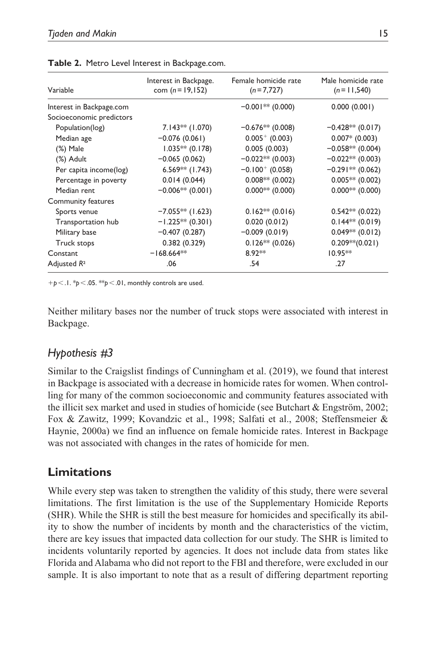| Variable                 | Interest in Backpage.<br>com $(n = 19, 152)$ | Female homicide rate<br>$(n=7,727)$ | Male homicide rate<br>$(n=11,540)$ |
|--------------------------|----------------------------------------------|-------------------------------------|------------------------------------|
| Interest in Backpage.com |                                              | $-0.001**$ (0.000)                  | 0.000(0.001)                       |
| Socioeconomic predictors |                                              |                                     |                                    |
| Population(log)          | $7.143**$ (1.070)                            | $-0.676**$ (0.008)                  | $-0.428**$ (0.017)                 |
| Median age               | $-0.076(0.061)$                              | $0.005^{+}$ (0.003)                 | $0.007*$ (0.003)                   |
| (%) Male                 | $1.035**$ (0.178)                            | 0.005(0.003)                        | $-0.058**$ (0.004)                 |
| (%) Adult                | $-0.065(0.062)$                              | $-0.022**$ (0.003)                  | $-0.022**$ (0.003)                 |
| Per capita income(log)   | $6.569**$ (1.743)                            | $-0.100^{+}$ (0.058)                | $-0.291**$ (0.062)                 |
| Percentage in poverty    | 0.014(0.044)                                 | $0.008**$ (0.002)                   | $0.005**$ (0.002)                  |
| Median rent              | $-0.006**$ (0.001)                           | $0.000**$ (0.000)                   | $0.000**$ (0.000)                  |
| Community features       |                                              |                                     |                                    |
| Sports venue             | $-7.055**$ (1.623)                           | $0.162**$ (0.016)                   | $0.542**$ (0.022)                  |
| Transportation hub       | $-1.225**$ (0.301)                           | 0.020(0.012)                        | $0.144**$ (0.019)                  |
| Military base            | $-0.407(0.287)$                              | $-0.009(0.019)$                     | $0.049**$ (0.012)                  |
| Truck stops              | 0.382(0.329)                                 | $0.126**$ (0.026)                   | $0.209**$ (0.021)                  |
| Constant                 | $-168.664**$                                 | 8.92**                              | $10.95**$                          |
| Adjusted R <sup>2</sup>  | .06                                          | .54                                 | .27                                |

**Table 2.** Metro Level Interest in Backpage.com.

+*p* < .1. \**p*< .05. \*\**p*< .01, monthly controls are used.

Neither military bases nor the number of truck stops were associated with interest in Backpage.

# *Hypothesis #3*

Similar to the Craigslist findings of Cunningham et al. (2019), we found that interest in Backpage is associated with a decrease in homicide rates for women. When controlling for many of the common socioeconomic and community features associated with the illicit sex market and used in studies of homicide (see Butchart & Engström, 2002; Fox & Zawitz, 1999; Kovandzic et al., 1998; Salfati et al., 2008; Steffensmeier & Haynie, 2000a) we find an influence on female homicide rates. Interest in Backpage was not associated with changes in the rates of homicide for men.

# **Limitations**

While every step was taken to strengthen the validity of this study, there were several limitations. The first limitation is the use of the Supplementary Homicide Reports (SHR). While the SHR is still the best measure for homicides and specifically its ability to show the number of incidents by month and the characteristics of the victim, there are key issues that impacted data collection for our study. The SHR is limited to incidents voluntarily reported by agencies. It does not include data from states like Florida and Alabama who did not report to the FBI and therefore, were excluded in our sample. It is also important to note that as a result of differing department reporting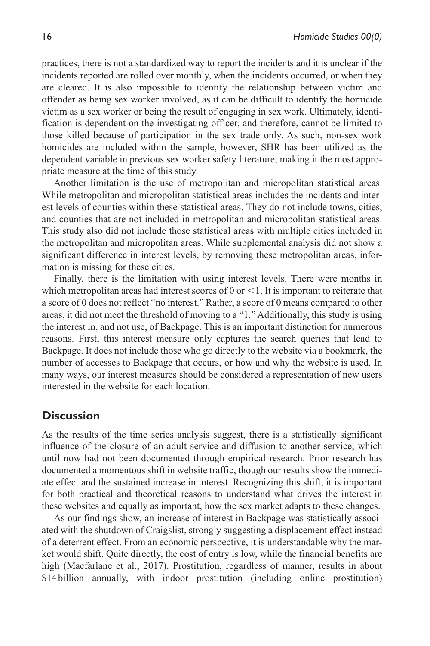practices, there is not a standardized way to report the incidents and it is unclear if the incidents reported are rolled over monthly, when the incidents occurred, or when they are cleared. It is also impossible to identify the relationship between victim and offender as being sex worker involved, as it can be difficult to identify the homicide victim as a sex worker or being the result of engaging in sex work. Ultimately, identification is dependent on the investigating officer, and therefore, cannot be limited to those killed because of participation in the sex trade only. As such, non-sex work homicides are included within the sample, however, SHR has been utilized as the dependent variable in previous sex worker safety literature, making it the most appropriate measure at the time of this study.

Another limitation is the use of metropolitan and micropolitan statistical areas. While metropolitan and micropolitan statistical areas includes the incidents and interest levels of counties within these statistical areas. They do not include towns, cities, and counties that are not included in metropolitan and micropolitan statistical areas. This study also did not include those statistical areas with multiple cities included in the metropolitan and micropolitan areas. While supplemental analysis did not show a significant difference in interest levels, by removing these metropolitan areas, information is missing for these cities.

Finally, there is the limitation with using interest levels. There were months in which metropolitan areas had interest scores of  $0$  or  $\leq 1$ . It is important to reiterate that a score of 0 does not reflect "no interest." Rather, a score of 0 means compared to other areas, it did not meet the threshold of moving to a "1." Additionally, this study is using the interest in, and not use, of Backpage. This is an important distinction for numerous reasons. First, this interest measure only captures the search queries that lead to Backpage. It does not include those who go directly to the website via a bookmark, the number of accesses to Backpage that occurs, or how and why the website is used. In many ways, our interest measures should be considered a representation of new users interested in the website for each location.

### **Discussion**

As the results of the time series analysis suggest, there is a statistically significant influence of the closure of an adult service and diffusion to another service, which until now had not been documented through empirical research. Prior research has documented a momentous shift in website traffic, though our results show the immediate effect and the sustained increase in interest. Recognizing this shift, it is important for both practical and theoretical reasons to understand what drives the interest in these websites and equally as important, how the sex market adapts to these changes.

As our findings show, an increase of interest in Backpage was statistically associated with the shutdown of Craigslist, strongly suggesting a displacement effect instead of a deterrent effect. From an economic perspective, it is understandable why the market would shift. Quite directly, the cost of entry is low, while the financial benefits are high (Macfarlane et al., 2017). Prostitution, regardless of manner, results in about \$14 billion annually, with indoor prostitution (including online prostitution)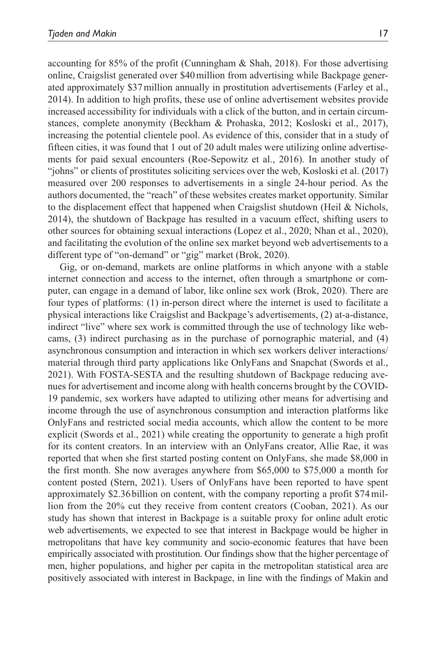accounting for 85% of the profit (Cunningham  $\&$  Shah, 2018). For those advertising online, Craigslist generated over \$40 million from advertising while Backpage generated approximately \$37 million annually in prostitution advertisements (Farley et al., 2014). In addition to high profits, these use of online advertisement websites provide increased accessibility for individuals with a click of the button, and in certain circumstances, complete anonymity (Beckham & Prohaska, 2012; Kosloski et al., 2017), increasing the potential clientele pool. As evidence of this, consider that in a study of fifteen cities, it was found that 1 out of 20 adult males were utilizing online advertisements for paid sexual encounters (Roe-Sepowitz et al., 2016). In another study of "johns" or clients of prostitutes soliciting services over the web, Kosloski et al. (2017) measured over 200 responses to advertisements in a single 24-hour period. As the authors documented, the "reach" of these websites creates market opportunity. Similar to the displacement effect that happened when Craigslist shutdown (Heil & Nichols, 2014), the shutdown of Backpage has resulted in a vacuum effect, shifting users to other sources for obtaining sexual interactions (Lopez et al., 2020; Nhan et al., 2020), and facilitating the evolution of the online sex market beyond web advertisements to a different type of "on-demand" or "gig" market (Brok, 2020).

Gig, or on-demand, markets are online platforms in which anyone with a stable internet connection and access to the internet, often through a smartphone or computer, can engage in a demand of labor, like online sex work (Brok, 2020). There are four types of platforms: (1) in-person direct where the internet is used to facilitate a physical interactions like Craigslist and Backpage's advertisements, (2) at-a-distance, indirect "live" where sex work is committed through the use of technology like webcams, (3) indirect purchasing as in the purchase of pornographic material, and (4) asynchronous consumption and interaction in which sex workers deliver interactions/ material through third party applications like OnlyFans and Snapchat (Swords et al., 2021). With FOSTA-SESTA and the resulting shutdown of Backpage reducing avenues for advertisement and income along with health concerns brought by the COVID-19 pandemic, sex workers have adapted to utilizing other means for advertising and income through the use of asynchronous consumption and interaction platforms like OnlyFans and restricted social media accounts, which allow the content to be more explicit (Swords et al., 2021) while creating the opportunity to generate a high profit for its content creators. In an interview with an OnlyFans creator, Allie Rae, it was reported that when she first started posting content on OnlyFans, she made \$8,000 in the first month. She now averages anywhere from \$65,000 to \$75,000 a month for content posted (Stern, 2021). Users of OnlyFans have been reported to have spent approximately \$2.36 billion on content, with the company reporting a profit \$74 million from the 20% cut they receive from content creators (Cooban, 2021). As our study has shown that interest in Backpage is a suitable proxy for online adult erotic web advertisements, we expected to see that interest in Backpage would be higher in metropolitans that have key community and socio-economic features that have been empirically associated with prostitution. Our findings show that the higher percentage of men, higher populations, and higher per capita in the metropolitan statistical area are positively associated with interest in Backpage, in line with the findings of Makin and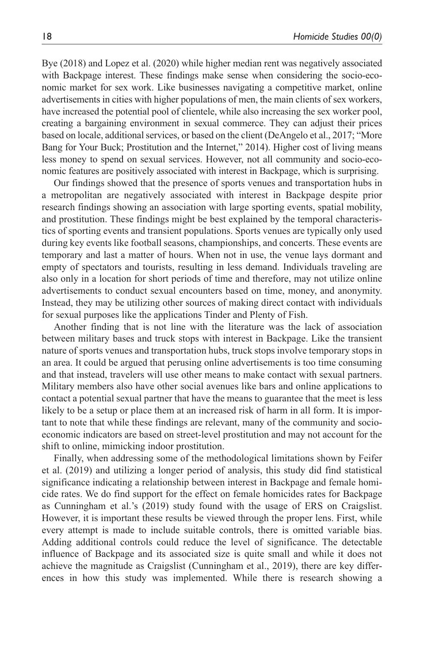Bye (2018) and Lopez et al. (2020) while higher median rent was negatively associated with Backpage interest. These findings make sense when considering the socio-economic market for sex work. Like businesses navigating a competitive market, online advertisements in cities with higher populations of men, the main clients of sex workers, have increased the potential pool of clientele, while also increasing the sex worker pool, creating a bargaining environment in sexual commerce. They can adjust their prices based on locale, additional services, or based on the client (DeAngelo et al., 2017; "More Bang for Your Buck; Prostitution and the Internet," 2014). Higher cost of living means less money to spend on sexual services. However, not all community and socio-economic features are positively associated with interest in Backpage, which is surprising.

Our findings showed that the presence of sports venues and transportation hubs in a metropolitan are negatively associated with interest in Backpage despite prior research findings showing an association with large sporting events, spatial mobility, and prostitution. These findings might be best explained by the temporal characteristics of sporting events and transient populations. Sports venues are typically only used during key events like football seasons, championships, and concerts. These events are temporary and last a matter of hours. When not in use, the venue lays dormant and empty of spectators and tourists, resulting in less demand. Individuals traveling are also only in a location for short periods of time and therefore, may not utilize online advertisements to conduct sexual encounters based on time, money, and anonymity. Instead, they may be utilizing other sources of making direct contact with individuals for sexual purposes like the applications Tinder and Plenty of Fish.

Another finding that is not line with the literature was the lack of association between military bases and truck stops with interest in Backpage. Like the transient nature of sports venues and transportation hubs, truck stops involve temporary stops in an area. It could be argued that perusing online advertisements is too time consuming and that instead, travelers will use other means to make contact with sexual partners. Military members also have other social avenues like bars and online applications to contact a potential sexual partner that have the means to guarantee that the meet is less likely to be a setup or place them at an increased risk of harm in all form. It is important to note that while these findings are relevant, many of the community and socioeconomic indicators are based on street-level prostitution and may not account for the shift to online, mimicking indoor prostitution.

Finally, when addressing some of the methodological limitations shown by Feifer et al. (2019) and utilizing a longer period of analysis, this study did find statistical significance indicating a relationship between interest in Backpage and female homicide rates. We do find support for the effect on female homicides rates for Backpage as Cunningham et al.'s (2019) study found with the usage of ERS on Craigslist. However, it is important these results be viewed through the proper lens. First, while every attempt is made to include suitable controls, there is omitted variable bias. Adding additional controls could reduce the level of significance. The detectable influence of Backpage and its associated size is quite small and while it does not achieve the magnitude as Craigslist (Cunningham et al., 2019), there are key differences in how this study was implemented. While there is research showing a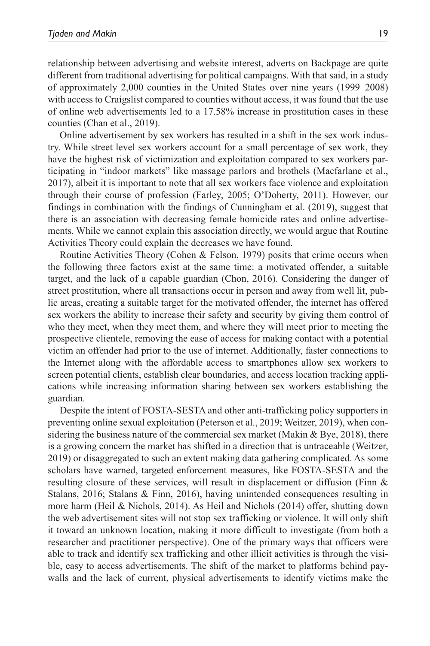relationship between advertising and website interest, adverts on Backpage are quite different from traditional advertising for political campaigns. With that said, in a study of approximately 2,000 counties in the United States over nine years (1999–2008) with access to Craigslist compared to counties without access, it was found that the use of online web advertisements led to a 17.58% increase in prostitution cases in these counties (Chan et al., 2019).

Online advertisement by sex workers has resulted in a shift in the sex work industry. While street level sex workers account for a small percentage of sex work, they have the highest risk of victimization and exploitation compared to sex workers participating in "indoor markets" like massage parlors and brothels (Macfarlane et al., 2017), albeit it is important to note that all sex workers face violence and exploitation through their course of profession (Farley, 2005; O'Doherty, 2011). However, our findings in combination with the findings of Cunningham et al. (2019), suggest that there is an association with decreasing female homicide rates and online advertisements. While we cannot explain this association directly, we would argue that Routine Activities Theory could explain the decreases we have found.

Routine Activities Theory (Cohen & Felson, 1979) posits that crime occurs when the following three factors exist at the same time: a motivated offender, a suitable target, and the lack of a capable guardian (Chon, 2016). Considering the danger of street prostitution, where all transactions occur in person and away from well lit, public areas, creating a suitable target for the motivated offender, the internet has offered sex workers the ability to increase their safety and security by giving them control of who they meet, when they meet them, and where they will meet prior to meeting the prospective clientele, removing the ease of access for making contact with a potential victim an offender had prior to the use of internet. Additionally, faster connections to the Internet along with the affordable access to smartphones allow sex workers to screen potential clients, establish clear boundaries, and access location tracking applications while increasing information sharing between sex workers establishing the guardian.

Despite the intent of FOSTA-SESTA and other anti-trafficking policy supporters in preventing online sexual exploitation (Peterson et al., 2019; Weitzer, 2019), when considering the business nature of the commercial sex market (Makin & Bye, 2018), there is a growing concern the market has shifted in a direction that is untraceable (Weitzer, 2019) or disaggregated to such an extent making data gathering complicated. As some scholars have warned, targeted enforcement measures, like FOSTA-SESTA and the resulting closure of these services, will result in displacement or diffusion (Finn & Stalans, 2016; Stalans & Finn, 2016), having unintended consequences resulting in more harm (Heil & Nichols, 2014). As Heil and Nichols (2014) offer, shutting down the web advertisement sites will not stop sex trafficking or violence. It will only shift it toward an unknown location, making it more difficult to investigate (from both a researcher and practitioner perspective). One of the primary ways that officers were able to track and identify sex trafficking and other illicit activities is through the visible, easy to access advertisements. The shift of the market to platforms behind paywalls and the lack of current, physical advertisements to identify victims make the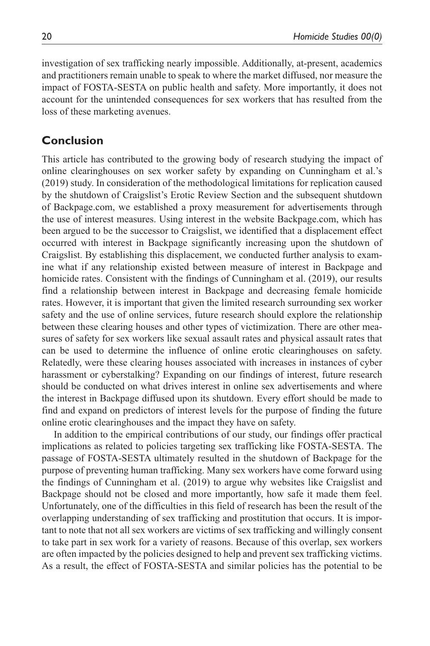investigation of sex trafficking nearly impossible. Additionally, at-present, academics and practitioners remain unable to speak to where the market diffused, nor measure the impact of FOSTA-SESTA on public health and safety. More importantly, it does not account for the unintended consequences for sex workers that has resulted from the loss of these marketing avenues.

# **Conclusion**

This article has contributed to the growing body of research studying the impact of online clearinghouses on sex worker safety by expanding on Cunningham et al.'s (2019) study. In consideration of the methodological limitations for replication caused by the shutdown of Craigslist's Erotic Review Section and the subsequent shutdown of Backpage.com, we established a proxy measurement for advertisements through the use of interest measures. Using interest in the website Backpage.com, which has been argued to be the successor to Craigslist, we identified that a displacement effect occurred with interest in Backpage significantly increasing upon the shutdown of Craigslist. By establishing this displacement, we conducted further analysis to examine what if any relationship existed between measure of interest in Backpage and homicide rates. Consistent with the findings of Cunningham et al. (2019), our results find a relationship between interest in Backpage and decreasing female homicide rates. However, it is important that given the limited research surrounding sex worker safety and the use of online services, future research should explore the relationship between these clearing houses and other types of victimization. There are other measures of safety for sex workers like sexual assault rates and physical assault rates that can be used to determine the influence of online erotic clearinghouses on safety. Relatedly, were these clearing houses associated with increases in instances of cyber harassment or cyberstalking? Expanding on our findings of interest, future research should be conducted on what drives interest in online sex advertisements and where the interest in Backpage diffused upon its shutdown. Every effort should be made to find and expand on predictors of interest levels for the purpose of finding the future online erotic clearinghouses and the impact they have on safety.

In addition to the empirical contributions of our study, our findings offer practical implications as related to policies targeting sex trafficking like FOSTA-SESTA. The passage of FOSTA-SESTA ultimately resulted in the shutdown of Backpage for the purpose of preventing human trafficking. Many sex workers have come forward using the findings of Cunningham et al. (2019) to argue why websites like Craigslist and Backpage should not be closed and more importantly, how safe it made them feel. Unfortunately, one of the difficulties in this field of research has been the result of the overlapping understanding of sex trafficking and prostitution that occurs. It is important to note that not all sex workers are victims of sex trafficking and willingly consent to take part in sex work for a variety of reasons. Because of this overlap, sex workers are often impacted by the policies designed to help and prevent sex trafficking victims. As a result, the effect of FOSTA-SESTA and similar policies has the potential to be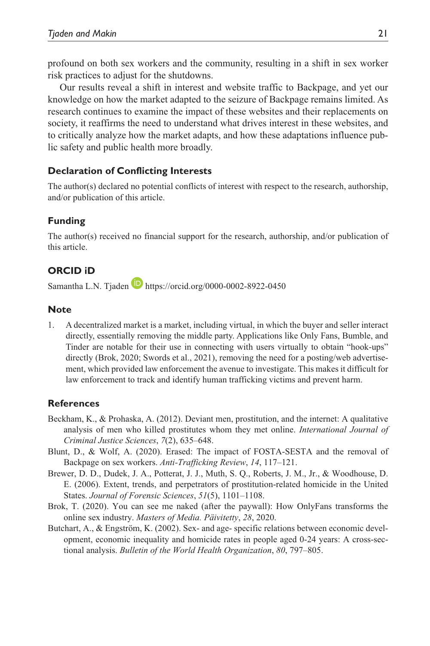profound on both sex workers and the community, resulting in a shift in sex worker risk practices to adjust for the shutdowns.

Our results reveal a shift in interest and website traffic to Backpage, and yet our knowledge on how the market adapted to the seizure of Backpage remains limited. As research continues to examine the impact of these websites and their replacements on society, it reaffirms the need to understand what drives interest in these websites, and to critically analyze how the market adapts, and how these adaptations influence public safety and public health more broadly.

### **Declaration of Conflicting Interests**

The author(s) declared no potential conflicts of interest with respect to the research, authorship, and/or publication of this article.

### **Funding**

The author(s) received no financial support for the research, authorship, and/or publication of this article.

# **ORCID iD**

Samantha L.N. Tjaden https://orcid.org/0000-0002-8922-0450

### **Note**

1. A decentralized market is a market, including virtual, in which the buyer and seller interact directly, essentially removing the middle party. Applications like Only Fans, Bumble, and Tinder are notable for their use in connecting with users virtually to obtain "hook-ups" directly (Brok, 2020; Swords et al., 2021), removing the need for a posting/web advertisement, which provided law enforcement the avenue to investigate. This makes it difficult for law enforcement to track and identify human trafficking victims and prevent harm.

### **References**

- Beckham, K., & Prohaska, A. (2012). Deviant men, prostitution, and the internet: A qualitative analysis of men who killed prostitutes whom they met online. *International Journal of Criminal Justice Sciences*, *7*(2), 635–648.
- Blunt, D., & Wolf, A. (2020). Erased: The impact of FOSTA-SESTA and the removal of Backpage on sex workers. *Anti-Trafficking Review*, *14*, 117–121.
- Brewer, D. D., Dudek, J. A., Potterat, J. J., Muth, S. Q., Roberts, J. M., Jr., & Woodhouse, D. E. (2006). Extent, trends, and perpetrators of prostitution-related homicide in the United States. *Journal of Forensic Sciences*, *51*(5), 1101–1108.
- Brok, T. (2020). You can see me naked (after the paywall): How OnlyFans transforms the online sex industry. *Masters of Media. Päivitetty*, *28*, 2020.
- Butchart, A., & Engström, K. (2002). Sex- and age- specific relations between economic development, economic inequality and homicide rates in people aged 0-24 years: A cross-sectional analysis. *Bulletin of the World Health Organization*, *80*, 797–805.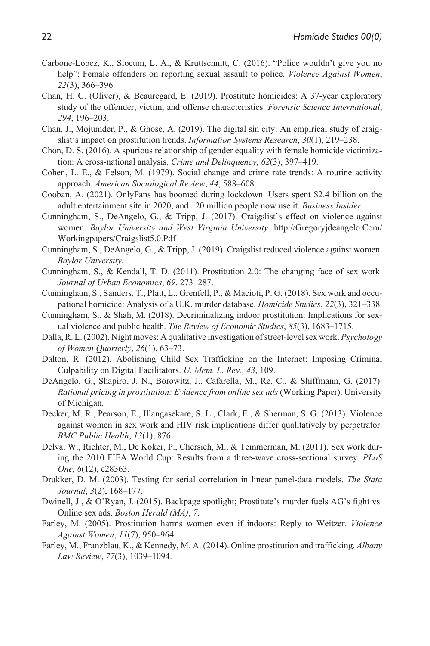- Carbone-Lopez, K., Slocum, L. A., & Kruttschnitt, C. (2016). "Police wouldn't give you no help": Female offenders on reporting sexual assault to police. *Violence Against Women*, *22*(3), 366–396.
- Chan, H. C. (Oliver), & Beauregard, E. (2019). Prostitute homicides: A 37-year exploratory study of the offender, victim, and offense characteristics. *Forensic Science International*, *294*, 196–203.
- Chan, J., Mojumder, P., & Ghose, A. (2019). The digital sin city: An empirical study of craigslist's impact on prostitution trends. *Information Systems Research*, *30*(1), 219–238.
- Chon, D. S. (2016). A spurious relationship of gender equality with female homicide victimization: A cross-national analysis. *Crime and Delinquency*, *62*(3), 397–419.
- Cohen, L. E., & Felson, M. (1979). Social change and crime rate trends: A routine activity approach. *American Sociological Review*, *44*, 588–608.
- Cooban, A. (2021). OnlyFans has boomed during lockdown. Users spent \$2.4 billion on the adult entertainment site in 2020, and 120 million people now use it. *Business Insider*.
- Cunningham, S., DeAngelo, G., & Tripp, J. (2017). Craigslist's effect on violence against women. *Baylor University and West Virginia University*. http://Gregoryjdeangelo.Com/ Workingpapers/Craigslist5.0.Pdf
- Cunningham, S., DeAngelo, G., & Tripp, J. (2019). Craigslist reduced violence against women. *Baylor University*.
- Cunningham, S., & Kendall, T. D. (2011). Prostitution 2.0: The changing face of sex work. *Journal of Urban Economics*, *69*, 273–287.
- Cunningham, S., Sanders, T., Platt, L., Grenfell, P., & Macioti, P. G. (2018). Sex work and occupational homicide: Analysis of a U.K. murder database. *Homicide Studies*, *22*(3), 321–338.
- Cunningham, S., & Shah, M. (2018). Decriminalizing indoor prostitution: Implications for sexual violence and public health. *The Review of Economic Studies*, *85*(3), 1683–1715.
- Dalla, R. L. (2002). Night moves: A qualitative investigation of street-level sex work. *Psychology of Women Quarterly*, *26*(1), 63–73.
- Dalton, R. (2012). Abolishing Child Sex Trafficking on the Internet: Imposing Criminal Culpability on Digital Facilitators. *U. Mem. L. Rev.*, *43*, 109.
- DeAngelo, G., Shapiro, J. N., Borowitz, J., Cafarella, M., Re, C., & Shiffmann, G. (2017). *Rational pricing in prostitution: Evidence from online sex ads* (Working Paper). University of Michigan.
- Decker, M. R., Pearson, E., Illangasekare, S. L., Clark, E., & Sherman, S. G. (2013). Violence against women in sex work and HIV risk implications differ qualitatively by perpetrator. *BMC Public Health*, *13*(1), 876.
- Delva, W., Richter, M., De Koker, P., Chersich, M., & Temmerman, M. (2011). Sex work during the 2010 FIFA World Cup: Results from a three-wave cross-sectional survey. *PLoS One*, *6*(12), e28363.
- Drukker, D. M. (2003). Testing for serial correlation in linear panel-data models. *The Stata Journal*, *3*(2), 168–177.
- Dwinell, J., & O'Ryan, J. (2015). Backpage spotlight; Prostitute's murder fuels AG's fight vs. Online sex ads. *Boston Herald (MA)*, *7*.
- Farley, M. (2005). Prostitution harms women even if indoors: Reply to Weitzer. *Violence Against Women*, *11*(7), 950–964.
- Farley, M., Franzblau, K., & Kennedy, M. A. (2014). Online prostitution and trafficking. *Albany Law Review*, *77*(3), 1039–1094.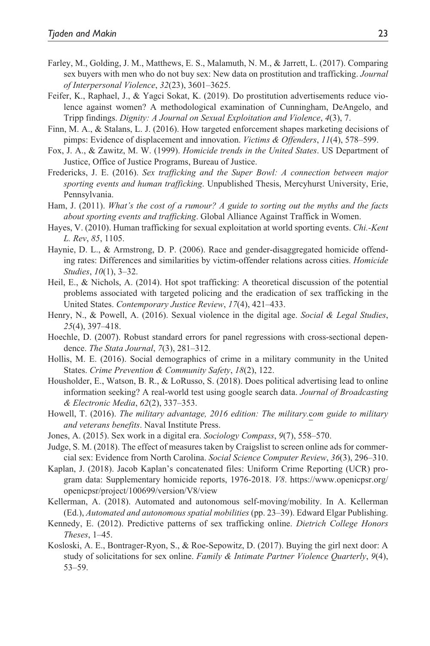- Farley, M., Golding, J. M., Matthews, E. S., Malamuth, N. M., & Jarrett, L. (2017). Comparing sex buyers with men who do not buy sex: New data on prostitution and trafficking. *Journal of Interpersonal Violence*, *32*(23), 3601–3625.
- Feifer, K., Raphael, J., & Yagci Sokat, K. (2019). Do prostitution advertisements reduce violence against women? A methodological examination of Cunningham, DeAngelo, and Tripp findings. *Dignity: A Journal on Sexual Exploitation and Violence*, *4*(3), 7.
- Finn, M. A., & Stalans, L. J. (2016). How targeted enforcement shapes marketing decisions of pimps: Evidence of displacement and innovation. *Victims & Offenders*, *11*(4), 578–599.
- Fox, J. A., & Zawitz, M. W. (1999). *Homicide trends in the United States*. US Department of Justice, Office of Justice Programs, Bureau of Justice.
- Fredericks, J. E. (2016). *Sex trafficking and the Super Bowl: A connection between major sporting events and human trafficking*. Unpublished Thesis, Mercyhurst University, Erie, Pennsylvania.
- Ham, J. (2011). *What's the cost of a rumour? A guide to sorting out the myths and the facts about sporting events and trafficking*. Global Alliance Against Traffick in Women.
- Hayes, V. (2010). Human trafficking for sexual exploitation at world sporting events. *Chi.-Kent L. Rev*, *85*, 1105.
- Haynie, D. L., & Armstrong, D. P. (2006). Race and gender-disaggregated homicide offending rates: Differences and similarities by victim-offender relations across cities. *Homicide Studies*, *10*(1), 3–32.
- Heil, E., & Nichols, A. (2014). Hot spot trafficking: A theoretical discussion of the potential problems associated with targeted policing and the eradication of sex trafficking in the United States. *Contemporary Justice Review*, *17*(4), 421–433.
- Henry, N., & Powell, A. (2016). Sexual violence in the digital age. *Social & Legal Studies*, *25*(4), 397–418.
- Hoechle, D. (2007). Robust standard errors for panel regressions with cross-sectional dependence. *The Stata Journal*, *7*(3), 281–312.
- Hollis, M. E. (2016). Social demographics of crime in a military community in the United States. *Crime Prevention & Community Safety*, *18*(2), 122.
- Housholder, E., Watson, B. R., & LoRusso, S. (2018). Does political advertising lead to online information seeking? A real-world test using google search data. *Journal of Broadcasting & Electronic Media*, *62*(2), 337–353.
- Howell, T. (2016). *The military advantage, 2016 edition: The military.*c*om guide to military and veterans benefits*. Naval Institute Press.
- Jones, A. (2015). Sex work in a digital era. *Sociology Compass*, *9*(7), 558–570.
- Judge, S. M. (2018). The effect of measures taken by Craigslist to screen online ads for commercial sex: Evidence from North Carolina. *Social Science Computer Review*, *36*(3), 296–310.
- Kaplan, J. (2018). Jacob Kaplan's concatenated files: Uniform Crime Reporting (UCR) program data: Supplementary homicide reports, 1976-2018. *V8*. https://www.openicpsr.org/ openicpsr/project/100699/version/V8/view
- Kellerman, A. (2018). Automated and autonomous self-moving/mobility. In A. Kellerman (Ed.), *Automated and autonomous spatial mobilities* (pp. 23–39). Edward Elgar Publishing.
- Kennedy, E. (2012). Predictive patterns of sex trafficking online. *Dietrich College Honors Theses*, 1–45.
- Kosloski, A. E., Bontrager-Ryon, S., & Roe-Sepowitz, D. (2017). Buying the girl next door: A study of solicitations for sex online. *Family & Intimate Partner Violence Quarterly*, *9*(4), 53–59.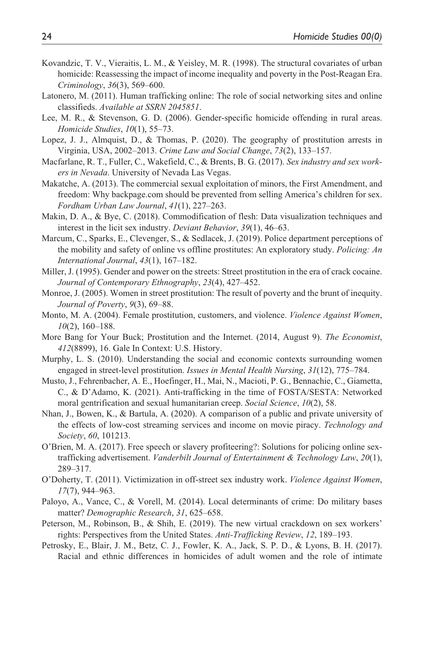- Kovandzic, T. V., Vieraitis, L. M., & Yeisley, M. R. (1998). The structural covariates of urban homicide: Reassessing the impact of income inequality and poverty in the Post-Reagan Era. *Criminology*, *36*(3), 569–600.
- Latonero, M. (2011). Human trafficking online: The role of social networking sites and online classifieds. *Available at SSRN 2045851*.
- Lee, M. R., & Stevenson, G. D. (2006). Gender-specific homicide offending in rural areas. *Homicide Studies*, *10*(1), 55–73.
- Lopez, J. J., Almquist, D., & Thomas, P. (2020). The geography of prostitution arrests in Virginia, USA, 2002–2013. *Crime Law and Social Change*, *73*(2), 133–157.
- Macfarlane, R. T., Fuller, C., Wakefield, C., & Brents, B. G. (2017). *Sex industry and sex workers in Nevada*. University of Nevada Las Vegas.
- Makatche, A. (2013). The commercial sexual exploitation of minors, the First Amendment, and freedom: Why backpage.com should be prevented from selling America's children for sex. *Fordham Urban Law Journal*, *41*(1), 227–263.
- Makin, D. A., & Bye, C. (2018). Commodification of flesh: Data visualization techniques and interest in the licit sex industry. *Deviant Behavior*, *39*(1), 46–63.
- Marcum, C., Sparks, E., Clevenger, S., & Sedlacek, J. (2019). Police department perceptions of the mobility and safety of online vs offline prostitutes: An exploratory study. *Policing: An International Journal*, *43*(1), 167–182.
- Miller, J. (1995). Gender and power on the streets: Street prostitution in the era of crack cocaine. *Journal of Contemporary Ethnography*, *23*(4), 427–452.
- Monroe, J. (2005). Women in street prostitution: The result of poverty and the brunt of inequity. *Journal of Poverty*, *9*(3), 69–88.
- Monto, M. A. (2004). Female prostitution, customers, and violence. *Violence Against Women*, *10*(2), 160–188.
- More Bang for Your Buck; Prostitution and the Internet. (2014, August 9). *The Economist*, *412*(8899), 16. Gale In Context: U.S. History.
- Murphy, L. S. (2010). Understanding the social and economic contexts surrounding women engaged in street-level prostitution. *Issues in Mental Health Nursing*, *31*(12), 775–784.
- Musto, J., Fehrenbacher, A. E., Hoefinger, H., Mai, N., Macioti, P. G., Bennachie, C., Giametta, C., & D'Adamo, K. (2021). Anti-trafficking in the time of FOSTA/SESTA: Networked moral gentrification and sexual humanitarian creep. *Social Science*, *10*(2), 58.
- Nhan, J., Bowen, K., & Bartula, A. (2020). A comparison of a public and private university of the effects of low-cost streaming services and income on movie piracy. *Technology and Society*, *60*, 101213.
- O'Brien, M. A. (2017). Free speech or slavery profiteering?: Solutions for policing online sextrafficking advertisement. *Vanderbilt Journal of Entertainment & Technology Law*, *20*(1), 289–317.
- O'Doherty, T. (2011). Victimization in off-street sex industry work. *Violence Against Women*, *17*(7), 944–963.
- Paloyo, A., Vance, C., & Vorell, M. (2014). Local determinants of crime: Do military bases matter? *Demographic Research*, *31*, 625–658.
- Peterson, M., Robinson, B., & Shih, E. (2019). The new virtual crackdown on sex workers' rights: Perspectives from the United States. *Anti-Trafficking Review*, *12*, 189–193.
- Petrosky, E., Blair, J. M., Betz, C. J., Fowler, K. A., Jack, S. P. D., & Lyons, B. H. (2017). Racial and ethnic differences in homicides of adult women and the role of intimate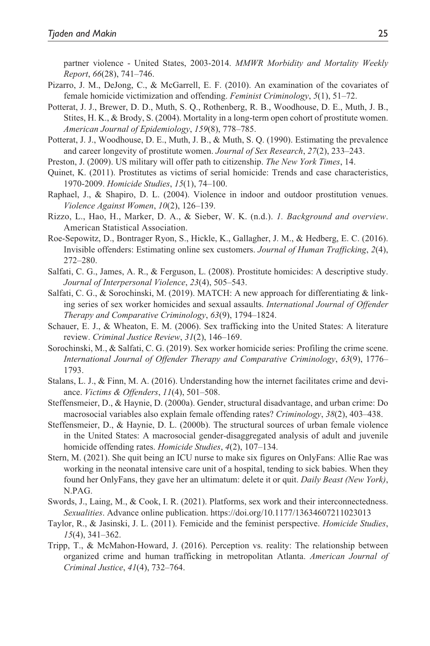partner violence - United States, 2003-2014. *MMWR Morbidity and Mortality Weekly Report*, *66*(28), 741–746.

- Pizarro, J. M., DeJong, C., & McGarrell, E. F. (2010). An examination of the covariates of female homicide victimization and offending. *Feminist Criminology*, *5*(1), 51–72.
- Potterat, J. J., Brewer, D. D., Muth, S. Q., Rothenberg, R. B., Woodhouse, D. E., Muth, J. B., Stites, H. K., & Brody, S. (2004). Mortality in a long-term open cohort of prostitute women. *American Journal of Epidemiology*, *159*(8), 778–785.
- Potterat, J. J., Woodhouse, D. E., Muth, J. B., & Muth, S. Q. (1990). Estimating the prevalence and career longevity of prostitute women. *Journal of Sex Research*, *27*(2), 233–243.
- Preston, J. (2009). US military will offer path to citizenship. *The New York Times*, 14.
- Quinet, K. (2011). Prostitutes as victims of serial homicide: Trends and case characteristics, 1970-2009. *Homicide Studies*, *15*(1), 74–100.
- Raphael, J., & Shapiro, D. L. (2004). Violence in indoor and outdoor prostitution venues. *Violence Against Women*, *10*(2), 126–139.
- Rizzo, L., Hao, H., Marker, D. A., & Sieber, W. K. (n.d.). *1. Background and overview*. American Statistical Association.
- Roe-Sepowitz, D., Bontrager Ryon, S., Hickle, K., Gallagher, J. M., & Hedberg, E. C. (2016). Invisible offenders: Estimating online sex customers. *Journal of Human Trafficking*, *2*(4), 272–280.
- Salfati, C. G., James, A. R., & Ferguson, L. (2008). Prostitute homicides: A descriptive study. *Journal of Interpersonal Violence*, *23*(4), 505–543.
- Salfati, C. G., & Sorochinski, M. (2019). MATCH: A new approach for differentiating & linking series of sex worker homicides and sexual assaults. *International Journal of Offender Therapy and Comparative Criminology*, *63*(9), 1794–1824.
- Schauer, E. J., & Wheaton, E. M. (2006). Sex trafficking into the United States: A literature review. *Criminal Justice Review*, *31*(2), 146–169.
- Sorochinski, M., & Salfati, C. G. (2019). Sex worker homicide series: Profiling the crime scene. *International Journal of Offender Therapy and Comparative Criminology*, *63*(9), 1776– 1793.
- Stalans, L. J., & Finn, M. A. (2016). Understanding how the internet facilitates crime and deviance. *Victims & Offenders*, *11*(4), 501–508.
- Steffensmeier, D., & Haynie, D. (2000a). Gender, structural disadvantage, and urban crime: Do macrosocial variables also explain female offending rates? *Criminology*, *38*(2), 403–438.
- Steffensmeier, D., & Haynie, D. L. (2000b). The structural sources of urban female violence in the United States: A macrosocial gender-disaggregated analysis of adult and juvenile homicide offending rates. *Homicide Studies*, *4*(2), 107–134.
- Stern, M. (2021). She quit being an ICU nurse to make six figures on OnlyFans: Allie Rae was working in the neonatal intensive care unit of a hospital, tending to sick babies. When they found her OnlyFans, they gave her an ultimatum: delete it or quit. *Daily Beast (New York)*, N.PAG.
- Swords, J., Laing, M., & Cook, I. R. (2021). Platforms, sex work and their interconnectedness. *Sexualities*. Advance online publication. https://doi.org/10.1177/13634607211023013
- Taylor, R., & Jasinski, J. L. (2011). Femicide and the feminist perspective. *Homicide Studies*, *15*(4), 341–362.
- Tripp, T., & McMahon-Howard, J. (2016). Perception vs. reality: The relationship between organized crime and human trafficking in metropolitan Atlanta. *American Journal of Criminal Justice*, *41*(4), 732–764.